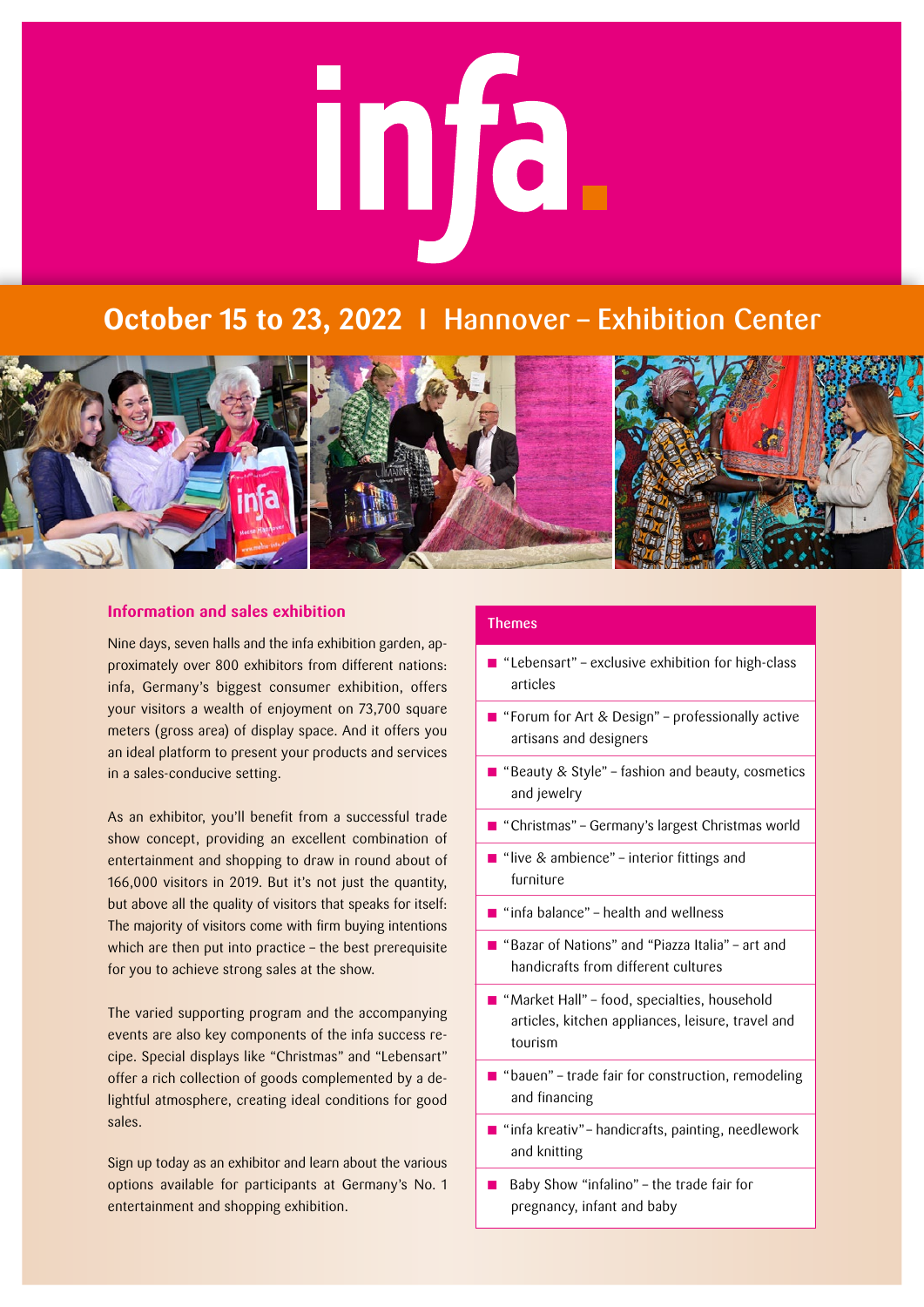# mfa.

# **October 15 to 23, 2022** I Hannover – Exhibition Center



# **Information and sales exhibition**

Nine days, seven halls and the infa exhibition garden, approximately over 800 exhibitors from different nations: infa, Germany's biggest consumer exhibition, offers your visitors a wealth of enjoyment on 73,700 square meters (gross area) of display space. And it offers you an ideal platform to present your products and services in a sales-conducive setting.

As an exhibitor, you'll benefit from a successful trade show concept, providing an excellent combination of entertainment and shopping to draw in round about of 166,000 visitors in 2019. But it's not just the quantity, but above all the quality of visitors that speaks for itself: The majority of visitors come with firm buying intentions which are then put into practice – the best prerequisite for you to achieve strong sales at the show.

The varied supporting program and the accompanying events are also key components of the infa success recipe. Special displays like "Christmas" and "Lebensart" offer a rich collection of goods complemented by a delightful atmosphere, creating ideal conditions for good sales.

Sign up today as an exhibitor and learn about the various options available for participants at Germany's No. 1 entertainment and shopping exhibition.

# Themes

- $\blacksquare$  "Lebensart" exclusive exhibition for high-class articles
- **n** "Forum for Art & Design" professionally active artisans and designers
- **n** "Beauty & Style" fashion and beauty, cosmetics and jewelry
- "Christmas" Germany's largest Christmas world
- n "live & ambience" interior fittings and furniture
- $\blacksquare$  "infa balance" health and wellness
- n "Bazar of Nations" and "Piazza Italia" art and handicrafts from different cultures
- $\blacksquare$  "Market Hall" food, specialties, household articles, kitchen appliances, leisure, travel and tourism
- $\blacksquare$  "bauen" trade fair for construction, remodeling and financing
- $\blacksquare$  "infa kreativ" handicrafts, painting, needlework and knitting
- n Baby Show "infalino" the trade fair for pregnancy, infant and baby